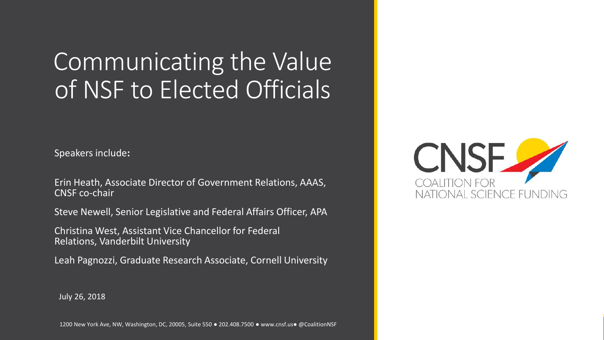#### Communicating the Value of NSF to Elected Officials

Speakers include**:**

Erin Heath, Associate Director of Government Relations, AAAS, CNSF co-chair

Steve Newell, Senior Legislative and Federal Affairs Officer, APA

Christina West, Assistant Vice Chancellor for Federal Relations, Vanderbilt University

Leah Pagnozzi, Graduate Research Associate, Cornell University



July 26, 2018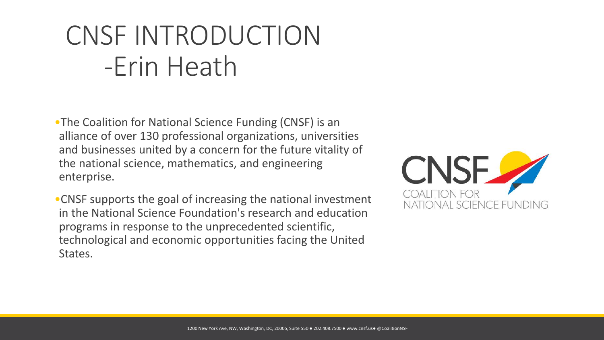•The Coalition for National Science Funding (CNSF) is an alliance of over 130 professional organizations, universities and businesses united by a concern for the future vitality of the national science, mathematics, and engineering enterprise.

•CNSF supports the goal of increasing the national investment in the National Science Foundation's research and education programs in response to the unprecedented scientific, technological and economic opportunities facing the United States.

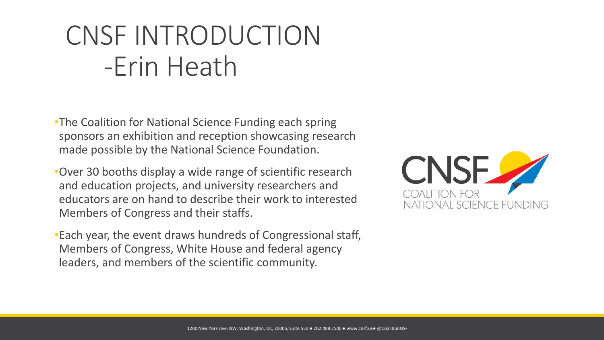•The Coalition for National Science Funding each spring sponsors an exhibition and reception showcasing research made possible by the National Science Foundation.

•Over 30 booths display a wide range of scientific research and education projects, and university researchers and educators are on hand to describe their work to interested Members of Congress and their staffs.

•Each year, the event draws hundreds of Congressional staff, Members of Congress, White House and federal agency leaders, and members of the scientific community.

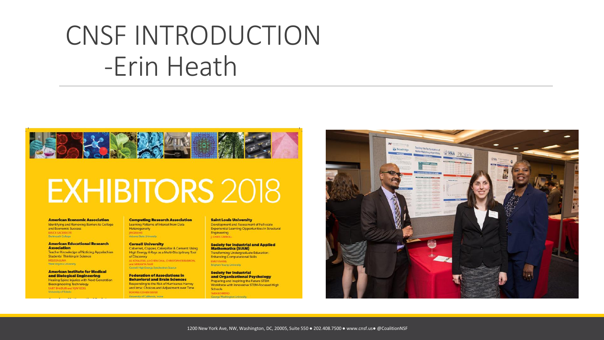

# **EXHIBITORS 2018**

#### **American Economic Association**

Identifying and Removing Barriers to College and Economic Success **BRUCE SACERDOT** Dartmouth College

#### **American Educational Research Association Teacher Knowledge of Noticing Appalachian Students' Thinking in Science**

**MELISSA LUNA** West Virginia University

**American Institute for Medical** and Biological Engineering **Healing Spine Injuries with Next-Generation Bioengineering Technology** SARIT BHADURI and VIJAY GOEL University of Toledo

#### **Computing Research Association** Learning Patterns of Interest from Data Heterogeneity **JINGRUI HE**

Arizona State University

**Cornell University** Cabernet, Copper, Caterpillar & Cement: Using High Energy X-Rays as a Multi-Disciplinary Tool of Discovery AL KOVALESKI, JU-CHEN CHIA, CHRISTOPHER BUDROW, and SRIRAMYA NAJR Cornell High Energy Synchrotron Source

#### **Federation of Associations in Behavioral and Brain Sciences** Responding to the Risk of Hurricanes Harvey and Irma: Choices and Adjustment over Time ROXANE COHEN SILVER University of California, Irvine

#### **Saint Louis University**

Development and Assessment of Full-scale **Experiential Learning Opportunities in Structural** Engineering J. CHRIS CARROLL

**Society for Industrial and Applied Mathematics (SIAM) Transforming Undergraduate Education: Enhancing Computational Skills EMILY EVANS Brigham Young University** 

#### **Society for Industrial** and Organizational Psychology Preparing and Inspiring the Future STEM Workforce with Innovative STEM-Focused High Schools **TARA REHRENE**

Genrae Was

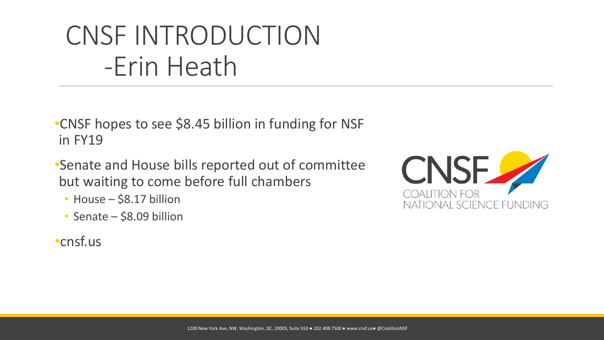•CNSF hopes to see \$8.45 billion in funding for NSF in FY19

- •Senate and House bills reported out of committee but waiting to come before full chambers
	- House \$8.17 billion
	- Senate \$8.09 billion
- •cnsf.us

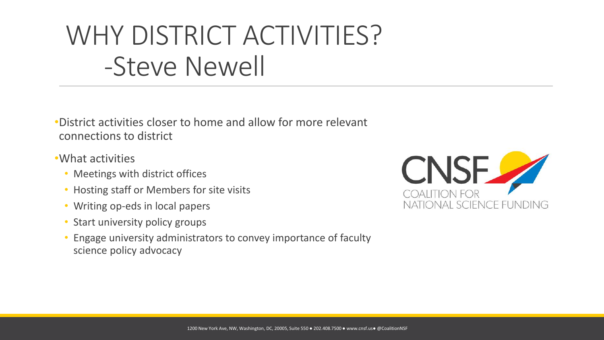- •District activities closer to home and allow for more relevant connections to district
- •What activities
	- Meetings with district offices
	- Hosting staff or Members for site visits
	- Writing op-eds in local papers
	- Start university policy groups
	- Engage university administrators to convey importance of faculty science policy advocacy

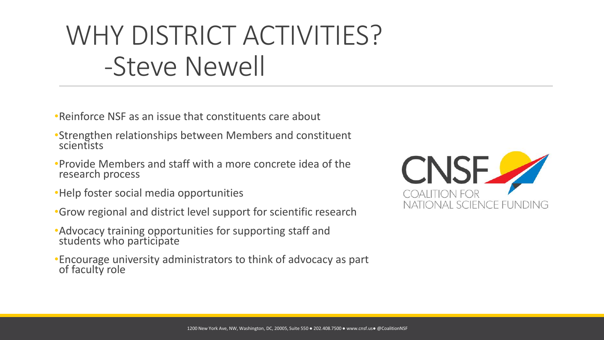- •Reinforce NSF as an issue that constituents care about
- •Strengthen relationships between Members and constituent scientists
- •Provide Members and staff with a more concrete idea of the research process
- •Help foster social media opportunities
- •Grow regional and district level support for scientific research
- •Advocacy training opportunities for supporting staff and students who participate
- •Encourage university administrators to think of advocacy as part of faculty role

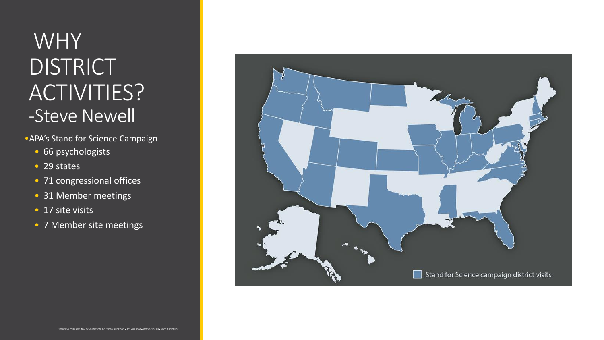- •APA's Stand for Science Campaign
	- 66 psychologists
	- 29 states
	- 71 congressional offices
	- 31 Member meetings
	- 17 site visits
	- 7 Member site meetings

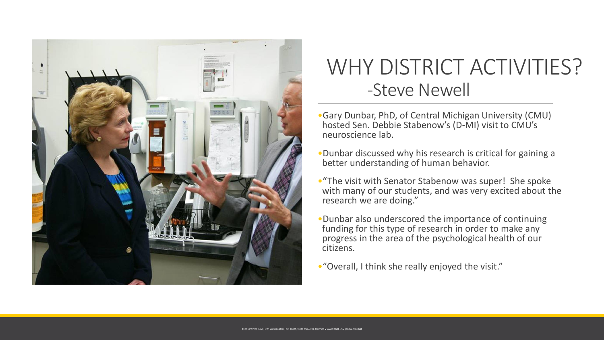

- •Gary Dunbar, PhD, of Central Michigan University (CMU) hosted Sen. Debbie Stabenow's (D-MI) visit to CMU's neuroscience lab.
- •Dunbar discussed why his research is critical for gaining a better understanding of human behavior.
- •"The visit with Senator Stabenow was super! She spoke with many of our students, and was very excited about the research we are doing."
- •Dunbar also underscored the importance of continuing funding for this type of research in order to make any progress in the area of the psychological health of our citizens.
- •"Overall, I think she really enjoyed the visit."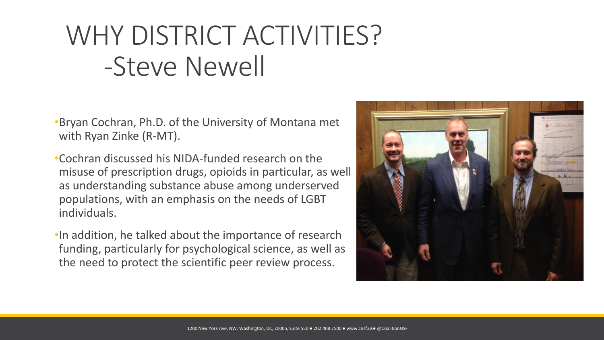•Bryan Cochran, Ph.D. of the University of Montana met with Ryan Zinke (R-MT).

•Cochran discussed his NIDA-funded research on the misuse of prescription drugs, opioids in particular, as well as understanding substance abuse among underserved populations, with an emphasis on the needs of LGBT individuals.

•In addition, he talked about the importance of research funding, particularly for psychological science, as well as the need to protect the scientific peer review process.

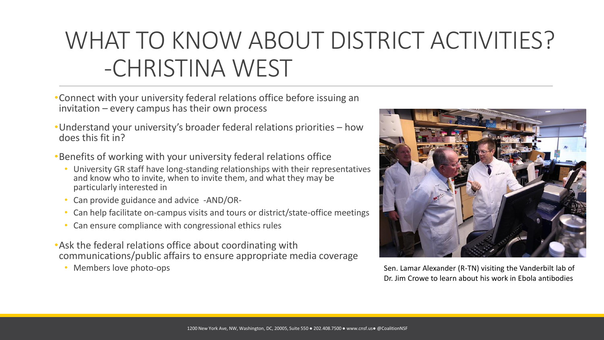#### WHAT TO KNOW ABOUT DISTRICT ACTIVITIES? -CHRISTINA WEST

- •Connect with your university federal relations office before issuing an invitation – every campus has their own process
- •Understand your university's broader federal relations priorities how does this fit in?
- •Benefits of working with your university federal relations office
	- University GR staff have long-standing relationships with their representatives and know who to invite, when to invite them, and what they may be particularly interested in
	- Can provide guidance and advice -AND/OR-
	- Can help facilitate on-campus visits and tours or district/state-office meetings
	- Can ensure compliance with congressional ethics rules
- •Ask the federal relations office about coordinating with communications/public affairs to ensure appropriate media coverage
	- Members love photo-ops



Sen. Lamar Alexander (R-TN) visiting the Vanderbilt lab of Dr. Jim Crowe to learn about his work in Ebola antibodies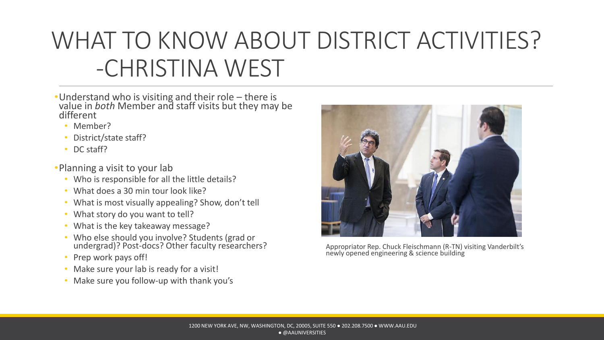#### WHAT TO KNOW ABOUT DISTRICT ACTIVITIES? -CHRISTINA WEST

- •Understand who is visiting and their role there is value in *both* Member and staff visits but they may be different
	- Member?
	- District/state staff?
	- DC staff?
- •Planning a visit to your lab
	- Who is responsible for all the little details?
	- What does a 30 min tour look like?
	- What is most visually appealing? Show, don't tell
	- What story do you want to tell?
	- What is the key takeaway message?
	- Who else should you involve? Students (grad or undergrad)? Post-docs? Other faculty researchers?
	- Prep work pays off!
	- Make sure your lab is ready for a visit!
	- Make sure you follow-up with thank you's



Appropriator Rep. Chuck Fleischmann (R-TN) visiting Vanderbilt's newly opened engineering & science building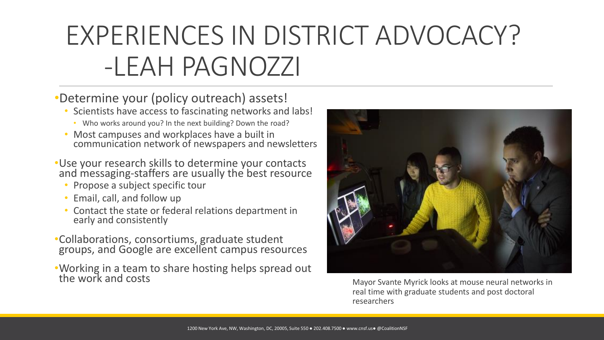## EXPERIENCES IN DISTRICT ADVOCACY? -LEAH PAGNOZZI

#### •Determine your (policy outreach) assets!

- Scientists have access to fascinating networks and labs!
	- Who works around you? In the next building? Down the road?
- Most campuses and workplaces have a built in communication network of newspapers and newsletters
- •Use your research skills to determine your contacts and messaging-staffers are usually the best resource
	- Propose a subject specific tour
	- Email, call, and follow up
	- Contact the state or federal relations department in early and consistently
- •Collaborations, consortiums, graduate student groups, and Google are excellent campus resources
- •Working in a team to share hosting helps spread out the work and costs



Mayor Svante Myrick looks at mouse neural networks in real time with graduate students and post doctoral researchers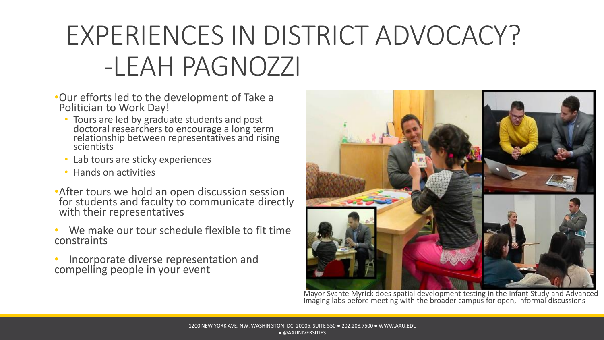# EXPERIENCES IN DISTRICT ADVOCACY? -LEAH PAGNOZZI

- •Our efforts led to the development of Take a Politician to Work Day!
	- Tours are led by graduate students and post doctoral researchers to encourage a long term relationship between representatives and rising scientists
	- Lab tours are sticky experiences
	- Hands on activities
- **After tours we hold an open discussion session** for students and faculty to communicate directly with their representatives
- We make our tour schedule flexible to fit time constraints
- Incorporate diverse representation and compelling people in your event



Mayor Svante Myrick does spatial development testing in the Infant Study and Advanced Imaging labs before meeting with the broader campus for open, informal discussions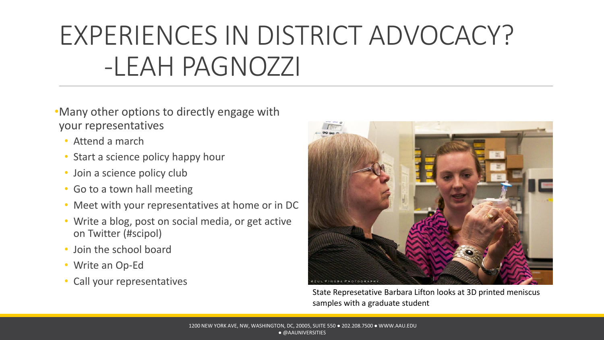## EXPERIENCES IN DISTRICT ADVOCACY? -LEAH PAGNOZZI

- •Many other options to directly engage with your representatives
	- Attend a march
	- Start a science policy happy hour
	- Join a science policy club
	- Go to a town hall meeting
	- Meet with your representatives at home or in DC
	- Write a blog, post on social media, or get active on Twitter (#scipol)
	- Join the school board
	- Write an Op-Ed
	- Call your representatives



State Represetative Barbara Lifton looks at 3D printed meniscus samples with a graduate student